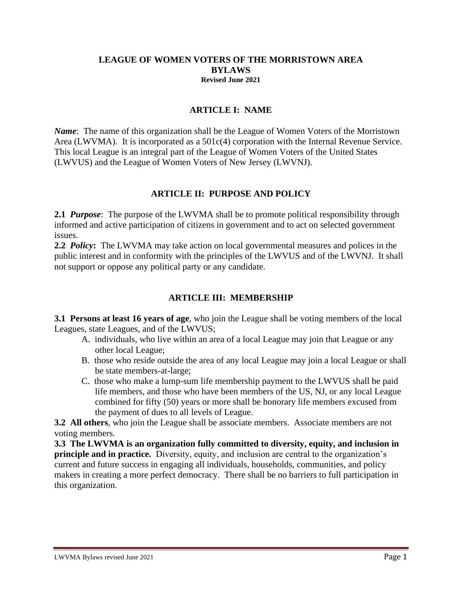#### **LEAGUE OF WOMEN VOTERS OF THE MORRISTOWN AREA BYLAWS Revised June 2021**

### **ARTICLE I: NAME**

*Name*: The name of this organization shall be the League of Women Voters of the Morristown Area (LWVMA). It is incorporated as a 501c(4) corporation with the Internal Revenue Service. This local League is an integral part of the League of Women Voters of the United States (LWVUS) and the League of Women Voters of New Jersey (LWVNJ).

### **ARTICLE II: PURPOSE AND POLICY**

**2.1** *Purpose*: The purpose of the LWVMA shall be to promote political responsibility through informed and active participation of citizens in government and to act on selected government issues.

**2.2** *Policy***:** The LWVMA may take action on local governmental measures and polices in the public interest and in conformity with the principles of the LWVUS and of the LWVNJ. It shall not support or oppose any political party or any candidate.

## **ARTICLE III: MEMBERSHIP**

**3.1 Persons at least 16 years of age**, who join the League shall be voting members of the local Leagues, state Leagues, and of the LWVUS;

- A. individuals, who live within an area of a local League may join that League or any other local League;
- B. those who reside outside the area of any local League may join a local League or shall be state members-at-large;
- C. those who make a lump-sum life membership payment to the LWVUS shall be paid life members, and those who have been members of the US, NJ, or any local League combined for fifty (50) years or more shall be honorary life members excused from the payment of dues to all levels of League.

**3.2 All others**, who join the League shall be associate members. Associate members are not voting members.

**3.3 The LWVMA is an organization fully committed to diversity, equity, and inclusion in principle and in practice.** Diversity, equity, and inclusion are central to the organization's current and future success in engaging all individuals, households, communities, and policy makers in creating a more perfect democracy. There shall be no barriers to full participation in this organization.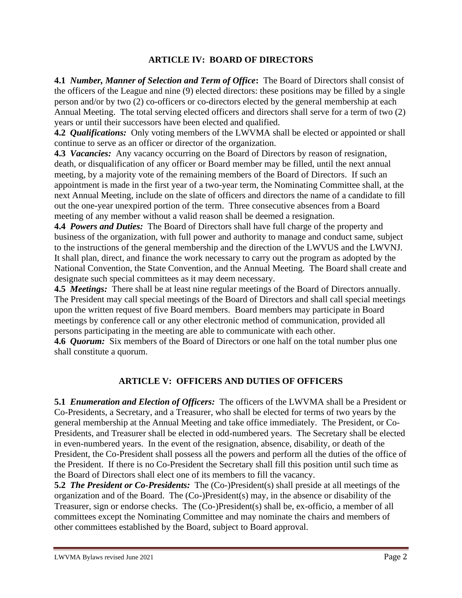### **ARTICLE IV: BOARD OF DIRECTORS**

**4.1** *Number, Manner of Selection and Term of Office***:** The Board of Directors shall consist of the officers of the League and nine (9) elected directors: these positions may be filled by a single person and/or by two (2) co-officers or co-directors elected by the general membership at each Annual Meeting. The total serving elected officers and directors shall serve for a term of two (2) years or until their successors have been elected and qualified.

**4.2** *Qualifications:* Only voting members of the LWVMA shall be elected or appointed or shall continue to serve as an officer or director of the organization.

**4.3** *Vacancies:* Any vacancy occurring on the Board of Directors by reason of resignation, death, or disqualification of any officer or Board member may be filled, until the next annual meeting, by a majority vote of the remaining members of the Board of Directors. If such an appointment is made in the first year of a two-year term, the Nominating Committee shall, at the next Annual Meeting, include on the slate of officers and directors the name of a candidate to fill out the one-year unexpired portion of the term. Three consecutive absences from a Board meeting of any member without a valid reason shall be deemed a resignation.

**4.4** *Powers and Duties:* The Board of Directors shall have full charge of the property and business of the organization, with full power and authority to manage and conduct same, subject to the instructions of the general membership and the direction of the LWVUS and the LWVNJ. It shall plan, direct, and finance the work necessary to carry out the program as adopted by the National Convention, the State Convention, and the Annual Meeting. The Board shall create and designate such special committees as it may deem necessary.

**4.5** *Meetings:* There shall be at least nine regular meetings of the Board of Directors annually. The President may call special meetings of the Board of Directors and shall call special meetings upon the written request of five Board members. Board members may participate in Board meetings by conference call or any other electronic method of communication, provided all persons participating in the meeting are able to communicate with each other.

**4.6** *Quorum:* Six members of the Board of Directors or one half on the total number plus one shall constitute a quorum.

## **ARTICLE V: OFFICERS AND DUTIES OF OFFICERS**

**5.1** *Enumeration and Election of Officers:* The officers of the LWVMA shall be a President or Co-Presidents, a Secretary, and a Treasurer, who shall be elected for terms of two years by the general membership at the Annual Meeting and take office immediately. The President, or Co-Presidents, and Treasurer shall be elected in odd-numbered years. The Secretary shall be elected in even-numbered years. In the event of the resignation, absence, disability, or death of the President, the Co-President shall possess all the powers and perform all the duties of the office of the President. If there is no Co-President the Secretary shall fill this position until such time as the Board of Directors shall elect one of its members to fill the vacancy.

**5.2** *The President or Co-Presidents:* The (Co-)President(s) shall preside at all meetings of the organization and of the Board. The (Co-)President(s) may, in the absence or disability of the Treasurer, sign or endorse checks. The (Co-)President(s) shall be, ex-officio, a member of all committees except the Nominating Committee and may nominate the chairs and members of other committees established by the Board, subject to Board approval.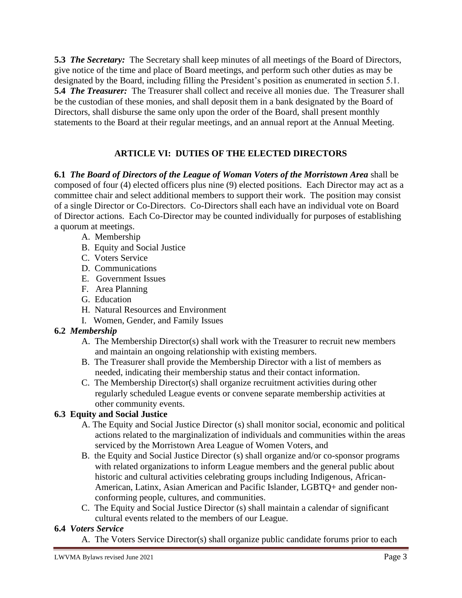**5.3** *The Secretary:* The Secretary shall keep minutes of all meetings of the Board of Directors, give notice of the time and place of Board meetings, and perform such other duties as may be designated by the Board, including filling the President's position as enumerated in section 5.1. **5.4** *The Treasurer:* The Treasurer shall collect and receive all monies due. The Treasurer shall be the custodian of these monies, and shall deposit them in a bank designated by the Board of Directors, shall disburse the same only upon the order of the Board, shall present monthly statements to the Board at their regular meetings, and an annual report at the Annual Meeting.

## **ARTICLE VI: DUTIES OF THE ELECTED DIRECTORS**

**6.1** *The Board of Directors of the League of Woman Voters of the Morristown Area* shall be composed of four (4) elected officers plus nine (9) elected positions. Each Director may act as a committee chair and select additional members to support their work. The position may consist of a single Director or Co-Directors. Co-Directors shall each have an individual vote on Board of Director actions. Each Co-Director may be counted individually for purposes of establishing a quorum at meetings.

- A. Membership
- B. Equity and Social Justice
- C. Voters Service
- D. Communications
- E. Government Issues
- F. Area Planning
- G. Education
- H. Natural Resources and Environment
- I. Women, Gender, and Family Issues

## **6.2** *Membership*

- A. The Membership Director(s) shall work with the Treasurer to recruit new members and maintain an ongoing relationship with existing members.
- B. The Treasurer shall provide the Membership Director with a list of members as needed, indicating their membership status and their contact information.
- C. The Membership Director(s) shall organize recruitment activities during other regularly scheduled League events or convene separate membership activities at other community events.

## **6.3 Equity and Social Justice**

- A. The Equity and Social Justice Director (s) shall monitor social, economic and political actions related to the marginalization of individuals and communities within the areas serviced by the Morristown Area League of Women Voters, and
- B. the Equity and Social Justice Director (s) shall organize and/or co-sponsor programs with related organizations to inform League members and the general public about historic and cultural activities celebrating groups including Indigenous, African- American, Latinx, Asian American and Pacific Islander, LGBTQ+ and gender non conforming people, cultures, and communities.
- C. The Equity and Social Justice Director (s) shall maintain a calendar of significant cultural events related to the members of our League.

## **6.4** *Voters Service*

A. The Voters Service Director(s) shall organize public candidate forums prior to each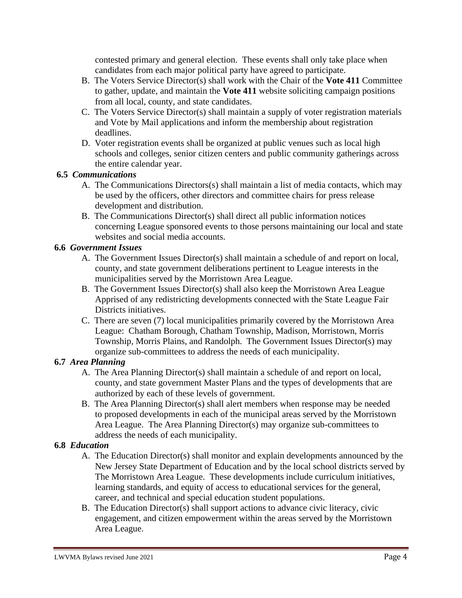contested primary and general election. These events shall only take place when candidates from each major political party have agreed to participate.

- B. The Voters Service Director(s) shall work with the Chair of the **Vote 411** Committee to gather, update, and maintain the **Vote 411** website soliciting campaign positions from all local, county, and state candidates.
- C. The Voters Service Director(s) shall maintain a supply of voter registration materials and Vote by Mail applications and inform the membership about registration deadlines.
- D. Voter registration events shall be organized at public venues such as local high schools and colleges, senior citizen centers and public community gatherings across the entire calendar year.

### **6.5** *Communications*

- A. The Communications Directors(s) shall maintain a list of media contacts, which may be used by the officers, other directors and committee chairs for press release development and distribution.
- B. The Communications Director(s) shall direct all public information notices concerning League sponsored events to those persons maintaining our local and state websites and social media accounts.

### **6.6** *Government Issues*

- A. The Government Issues Director(s) shall maintain a schedule of and report on local, county, and state government deliberations pertinent to League interests in the municipalities served by the Morristown Area League.
- B. The Government Issues Director(s) shall also keep the Morristown Area League Apprised of any redistricting developments connected with the State League Fair Districts initiatives.
- C. There are seven (7) local municipalities primarily covered by the Morristown Area League: Chatham Borough, Chatham Township, Madison, Morristown, Morris Township, Morris Plains, and Randolph. The Government Issues Director(s) may organize sub-committees to address the needs of each municipality.

### **6.7** *Area Planning*

- A. The Area Planning Director(s) shall maintain a schedule of and report on local, county, and state government Master Plans and the types of developments that are authorized by each of these levels of government.
- B. The Area Planning Director(s) shall alert members when response may be needed to proposed developments in each of the municipal areas served by the Morristown Area League. The Area Planning Director(s) may organize sub-committees to address the needs of each municipality.

## **6.8** *Education*

- A. The Education Director(s) shall monitor and explain developments announced by the New Jersey State Department of Education and by the local school districts served by The Morristown Area League. These developments include curriculum initiatives, learning standards, and equity of access to educational services for the general, career, and technical and special education student populations.
- B. The Education Director(s) shall support actions to advance civic literacy, civic engagement, and citizen empowerment within the areas served by the Morristown Area League.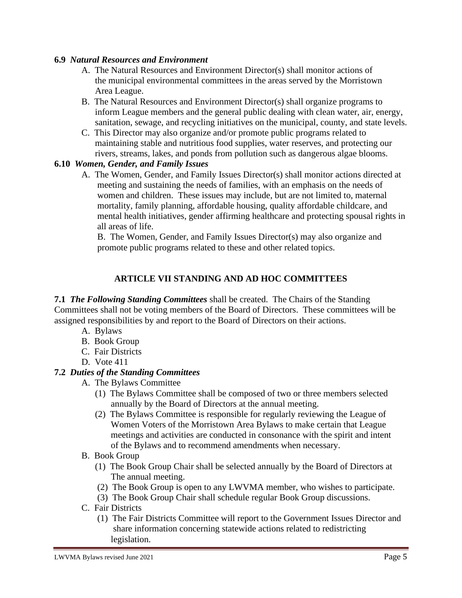### **6.9** *Natural Resources and Environment*

- A. The Natural Resources and Environment Director(s) shall monitor actions of the municipal environmental committees in the areas served by the Morristown Area League.
- B. The Natural Resources and Environment Director(s) shall organize programs to inform League members and the general public dealing with clean water, air, energy, sanitation, sewage, and recycling initiatives on the municipal, county, and state levels.
- C. This Director may also organize and/or promote public programs related to maintaining stable and nutritious food supplies, water reserves, and protecting our rivers, streams, lakes, and ponds from pollution such as dangerous algae blooms.

### **6.10** *Women, Gender, and Family Issues*

A. The Women, Gender, and Family Issues Director(s) shall monitor actions directed at meeting and sustaining the needs of families, with an emphasis on the needs of women and children. These issues may include, but are not limited to, maternal mortality, family planning, affordable housing, quality affordable childcare, and mental health initiatives, gender affirming healthcare and protecting spousal rights in all areas of life.

B. The Women, Gender, and Family Issues Director(s) may also organize and promote public programs related to these and other related topics.

### **ARTICLE VII STANDING AND AD HOC COMMITTEES**

**7.1** *The Following Standing Committees* shall be created. The Chairs of the Standing Committees shall not be voting members of the Board of Directors. These committees will be assigned responsibilities by and report to the Board of Directors on their actions.

- A. Bylaws
- B. Book Group
- C. Fair Districts
- D. Vote 411

### **7.2** *Duties of the Standing Committees*

- A. The Bylaws Committee
	- (1) The Bylaws Committee shall be composed of two or three members selected annually by the Board of Directors at the annual meeting.
	- (2) The Bylaws Committee is responsible for regularly reviewing the League of Women Voters of the Morristown Area Bylaws to make certain that League meetings and activities are conducted in consonance with the spirit and intent of the Bylaws and to recommend amendments when necessary.
- B. Book Group
	- (1) The Book Group Chair shall be selected annually by the Board of Directors at The annual meeting.
	- (2) The Book Group is open to any LWVMA member, who wishes to participate.
	- (3) The Book Group Chair shall schedule regular Book Group discussions.
- C. Fair Districts
	- (1) The Fair Districts Committee will report to the Government Issues Director and share information concerning statewide actions related to redistricting legislation.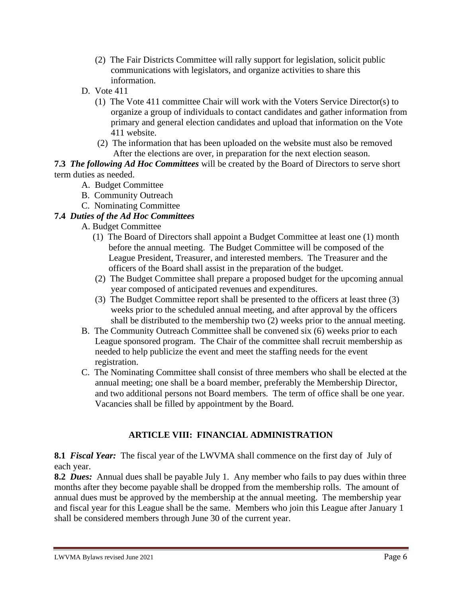- (2) The Fair Districts Committee will rally support for legislation, solicit public communications with legislators, and organize activities to share this information.
- D. Vote 411
	- (1) The Vote 411 committee Chair will work with the Voters Service Director(s) to organize a group of individuals to contact candidates and gather information from primary and general election candidates and upload that information on the Vote 411 website.
	- (2) The information that has been uploaded on the website must also be removed After the elections are over, in preparation for the next election season.

**7.3** *The following Ad Hoc Committees* will be created by the Board of Directors to serve short term duties as needed.

- A. Budget Committee
- B. Community Outreach
- C. Nominating Committee

## **7.4** *Duties of the Ad Hoc Committees*

- A. Budget Committee
	- (1) The Board of Directors shall appoint a Budget Committee at least one (1) month before the annual meeting. The Budget Committee will be composed of the League President, Treasurer, and interested members. The Treasurer and the officers of the Board shall assist in the preparation of the budget.
	- (2) The Budget Committee shall prepare a proposed budget for the upcoming annual year composed of anticipated revenues and expenditures.
	- (3) The Budget Committee report shall be presented to the officers at least three (3) weeks prior to the scheduled annual meeting, and after approval by the officers shall be distributed to the membership two (2) weeks prior to the annual meeting.
- B. The Community Outreach Committee shall be convened six (6) weeks prior to each League sponsored program. The Chair of the committee shall recruit membership as needed to help publicize the event and meet the staffing needs for the event registration.
- C. The Nominating Committee shall consist of three members who shall be elected at the annual meeting; one shall be a board member, preferably the Membership Director, and two additional persons not Board members. The term of office shall be one year. Vacancies shall be filled by appointment by the Board.

## **ARTICLE VIII: FINANCIAL ADMINISTRATION**

**8.1** *Fiscal Year:* The fiscal year of the LWVMA shall commence on the first day of July of each year.

**8.2** *Dues:* Annual dues shall be payable July 1. Any member who fails to pay dues within three months after they become payable shall be dropped from the membership rolls. The amount of annual dues must be approved by the membership at the annual meeting. The membership year and fiscal year for this League shall be the same. Members who join this League after January 1 shall be considered members through June 30 of the current year.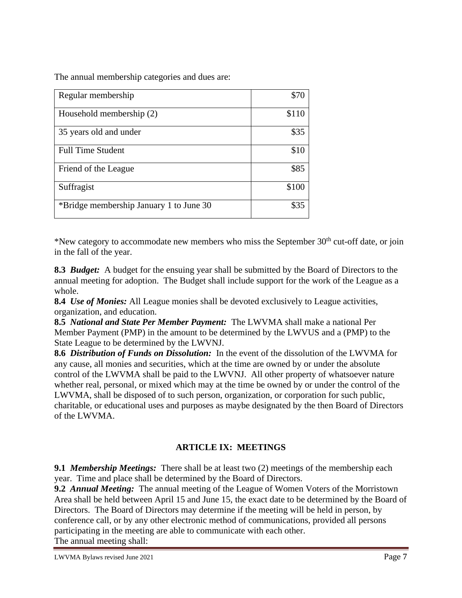The annual membership categories and dues are:

| Regular membership                      | \$70  |
|-----------------------------------------|-------|
| Household membership (2)                | \$110 |
| 35 years old and under                  | \$35  |
| <b>Full Time Student</b>                | \$10  |
| Friend of the League                    | \$85  |
| Suffragist                              | \$100 |
| *Bridge membership January 1 to June 30 | \$35  |

\*New category to accommodate new members who miss the September  $30<sup>th</sup>$  cut-off date, or join in the fall of the year.

**8.3** *Budget:* A budget for the ensuing year shall be submitted by the Board of Directors to the annual meeting for adoption. The Budget shall include support for the work of the League as a whole.

**8.4** *Use of Monies:* All League monies shall be devoted exclusively to League activities, organization, and education.

**8.5** *National and State Per Member Payment:* The LWVMA shall make a national Per Member Payment (PMP) in the amount to be determined by the LWVUS and a (PMP) to the State League to be determined by the LWVNJ.

**8.6** *Distribution of Funds on Dissolution:* In the event of the dissolution of the LWVMA for any cause, all monies and securities, which at the time are owned by or under the absolute control of the LWVMA shall be paid to the LWVNJ. All other property of whatsoever nature whether real, personal, or mixed which may at the time be owned by or under the control of the LWVMA, shall be disposed of to such person, organization, or corporation for such public, charitable, or educational uses and purposes as maybe designated by the then Board of Directors of the LWVMA.

## **ARTICLE IX: MEETINGS**

**9.1** *Membership Meetings:* There shall be at least two (2) meetings of the membership each year. Time and place shall be determined by the Board of Directors.

**9.2** *Annual Meeting:* The annual meeting of the League of Women Voters of the Morristown Area shall be held between April 15 and June 15, the exact date to be determined by the Board of Directors. The Board of Directors may determine if the meeting will be held in person, by conference call, or by any other electronic method of communications, provided all persons participating in the meeting are able to communicate with each other.

The annual meeting shall:

LWVMA Bylaws revised June 2021 **Page 7** Page 7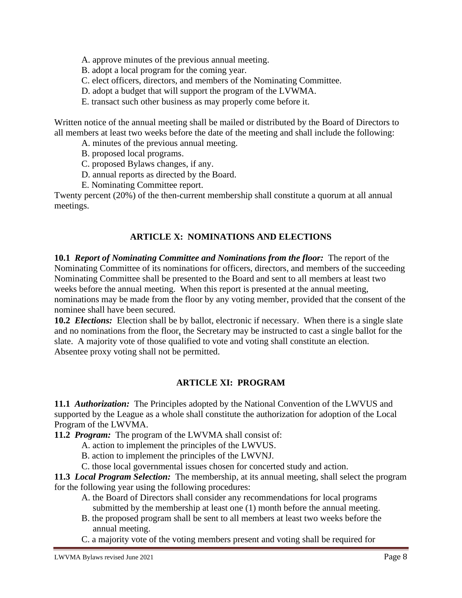- A. approve minutes of the previous annual meeting.
- B. adopt a local program for the coming year.
- C. elect officers, directors, and members of the Nominating Committee.
- D. adopt a budget that will support the program of the LVWMA.
- E. transact such other business as may properly come before it.

Written notice of the annual meeting shall be mailed or distributed by the Board of Directors to all members at least two weeks before the date of the meeting and shall include the following:

- A. minutes of the previous annual meeting.
- B. proposed local programs.
- C. proposed Bylaws changes, if any.
- D. annual reports as directed by the Board.
- E. Nominating Committee report.

Twenty percent (20%) of the then-current membership shall constitute a quorum at all annual meetings.

### **ARTICLE X: NOMINATIONS AND ELECTIONS**

**10.1** *Report of Nominating Committee and Nominations from the floor:* The report of the Nominating Committee of its nominations for officers, directors, and members of the succeeding Nominating Committee shall be presented to the Board and sent to all members at least two weeks before the annual meeting. When this report is presented at the annual meeting, nominations may be made from the floor by any voting member, provided that the consent of the nominee shall have been secured.

**10.2** *Elections:* Election shall be by ballot, electronic if necessary. When there is a single slate and no nominations from the floor, the Secretary may be instructed to cast a single ballot for the slate. A majority vote of those qualified to vote and voting shall constitute an election. Absentee proxy voting shall not be permitted.

### **ARTICLE XI: PROGRAM**

**11.1** *Authorization:* The Principles adopted by the National Convention of the LWVUS and supported by the League as a whole shall constitute the authorization for adoption of the Local Program of the LWVMA.

**11.2** *Program:* The program of the LWVMA shall consist of:

- A. action to implement the principles of the LWVUS.
- B. action to implement the principles of the LWVNJ.
- C. those local governmental issues chosen for concerted study and action.

**11.3** *Local Program Selection:* The membership, at its annual meeting, shall select the program for the following year using the following procedures:

- A. the Board of Directors shall consider any recommendations for local programs submitted by the membership at least one (1) month before the annual meeting.
- B. the proposed program shall be sent to all members at least two weeks before the annual meeting.
- C. a majority vote of the voting members present and voting shall be required for